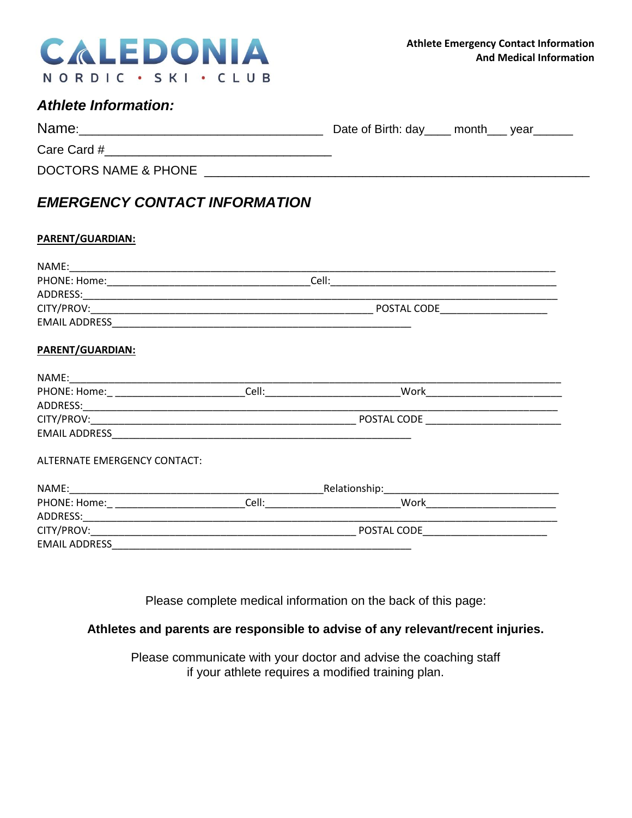

## *Athlete Information:*

| Name:                | Date of Birth: day_____ month____ year_ |
|----------------------|-----------------------------------------|
| Care Card #          |                                         |
| DOCTORS NAME & PHONE |                                         |

# *EMERGENCY CONTACT INFORMATION*

#### **PARENT/GUARDIAN:**

|                              | POSTAL CODE |                                                                                                                                                                                                                                                                     |  |  |
|------------------------------|-------------|---------------------------------------------------------------------------------------------------------------------------------------------------------------------------------------------------------------------------------------------------------------------|--|--|
|                              |             |                                                                                                                                                                                                                                                                     |  |  |
| <b>PARENT/GUARDIAN:</b>      |             |                                                                                                                                                                                                                                                                     |  |  |
|                              |             |                                                                                                                                                                                                                                                                     |  |  |
|                              |             |                                                                                                                                                                                                                                                                     |  |  |
|                              |             |                                                                                                                                                                                                                                                                     |  |  |
|                              |             |                                                                                                                                                                                                                                                                     |  |  |
|                              |             |                                                                                                                                                                                                                                                                     |  |  |
| ALTERNATE EMERGENCY CONTACT: |             |                                                                                                                                                                                                                                                                     |  |  |
|                              |             |                                                                                                                                                                                                                                                                     |  |  |
|                              |             | Cell: <u>Celling and the set of the set of the set of the set of the set of the set of the set of the set of the set of the set of the set of the set of the set of the set of the set of the set of the set of the set of the s</u><br>Work ______________________ |  |  |
| ADDRESS: ADDRESS:            |             |                                                                                                                                                                                                                                                                     |  |  |
|                              |             |                                                                                                                                                                                                                                                                     |  |  |
|                              |             |                                                                                                                                                                                                                                                                     |  |  |
|                              |             |                                                                                                                                                                                                                                                                     |  |  |

Please complete medical information on the back of this page:

#### **Athletes and parents are responsible to advise of any relevant/recent injuries.**

Please communicate with your doctor and advise the coaching staff if your athlete requires a modified training plan.